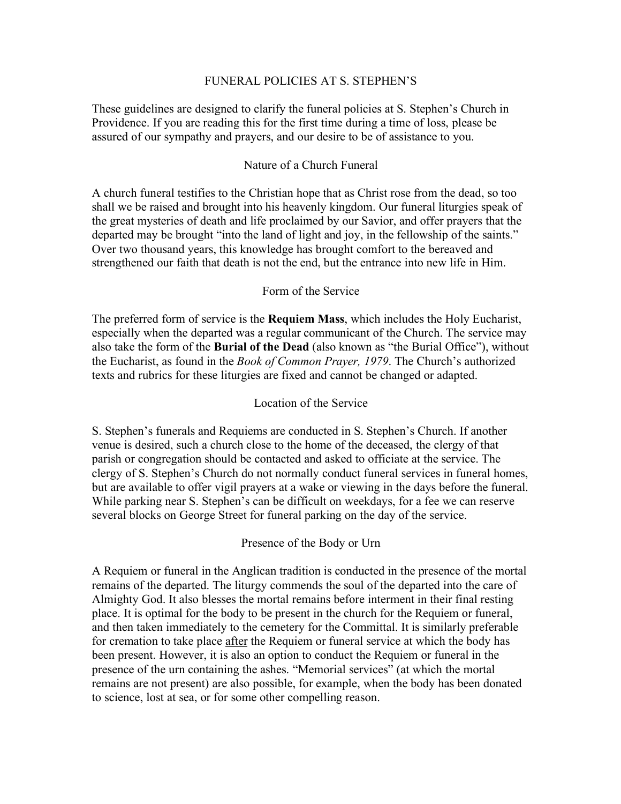## FUNERAL POLICIES AT S. STEPHEN'S

These guidelines are designed to clarify the funeral policies at S. Stephen's Church in Providence. If you are reading this for the first time during a time of loss, please be assured of our sympathy and prayers, and our desire to be of assistance to you.

# Nature of a Church Funeral

A church funeral testifies to the Christian hope that as Christ rose from the dead, so too shall we be raised and brought into his heavenly kingdom. Our funeral liturgies speak of the great mysteries of death and life proclaimed by our Savior, and offer prayers that the departed may be brought "into the land of light and joy, in the fellowship of the saints." Over two thousand years, this knowledge has brought comfort to the bereaved and strengthened our faith that death is not the end, but the entrance into new life in Him.

# Form of the Service

The preferred form of service is the **Requiem Mass**, which includes the Holy Eucharist, especially when the departed was a regular communicant of the Church. The service may also take the form of the **Burial of the Dead** (also known as "the Burial Office"), without the Eucharist, as found in the *Book of Common Prayer, 1979*. The Church's authorized texts and rubrics for these liturgies are fixed and cannot be changed or adapted.

# Location of the Service

S. Stephen's funerals and Requiems are conducted in S. Stephen's Church. If another venue is desired, such a church close to the home of the deceased, the clergy of that parish or congregation should be contacted and asked to officiate at the service. The clergy of S. Stephen's Church do not normally conduct funeral services in funeral homes, but are available to offer vigil prayers at a wake or viewing in the days before the funeral. While parking near S. Stephen's can be difficult on weekdays, for a fee we can reserve several blocks on George Street for funeral parking on the day of the service.

### Presence of the Body or Urn

A Requiem or funeral in the Anglican tradition is conducted in the presence of the mortal remains of the departed. The liturgy commends the soul of the departed into the care of Almighty God. It also blesses the mortal remains before interment in their final resting place. It is optimal for the body to be present in the church for the Requiem or funeral, and then taken immediately to the cemetery for the Committal. It is similarly preferable for cremation to take place after the Requiem or funeral service at which the body has been present. However, it is also an option to conduct the Requiem or funeral in the presence of the urn containing the ashes. "Memorial services" (at which the mortal remains are not present) are also possible, for example, when the body has been donated to science, lost at sea, or for some other compelling reason.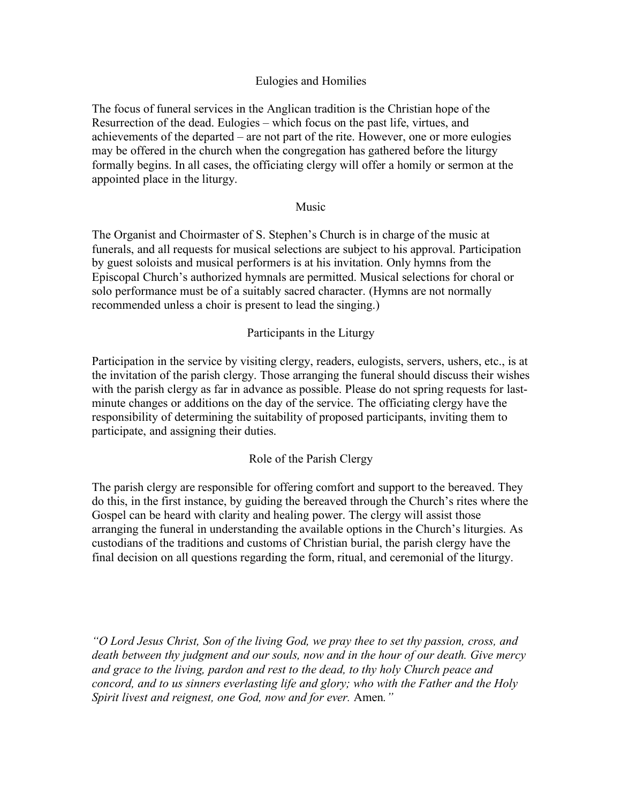# Eulogies and Homilies

The focus of funeral services in the Anglican tradition is the Christian hope of the Resurrection of the dead. Eulogies – which focus on the past life, virtues, and achievements of the departed – are not part of the rite. However, one or more eulogies may be offered in the church when the congregation has gathered before the liturgy formally begins. In all cases, the officiating clergy will offer a homily or sermon at the appointed place in the liturgy.

### Music

The Organist and Choirmaster of S. Stephen's Church is in charge of the music at funerals, and all requests for musical selections are subject to his approval. Participation by guest soloists and musical performers is at his invitation. Only hymns from the Episcopal Church's authorized hymnals are permitted. Musical selections for choral or solo performance must be of a suitably sacred character. (Hymns are not normally recommended unless a choir is present to lead the singing.)

### Participants in the Liturgy

Participation in the service by visiting clergy, readers, eulogists, servers, ushers, etc., is at the invitation of the parish clergy. Those arranging the funeral should discuss their wishes with the parish clergy as far in advance as possible. Please do not spring requests for lastminute changes or additions on the day of the service. The officiating clergy have the responsibility of determining the suitability of proposed participants, inviting them to participate, and assigning their duties.

### Role of the Parish Clergy

The parish clergy are responsible for offering comfort and support to the bereaved. They do this, in the first instance, by guiding the bereaved through the Church's rites where the Gospel can be heard with clarity and healing power. The clergy will assist those arranging the funeral in understanding the available options in the Church's liturgies. As custodians of the traditions and customs of Christian burial, the parish clergy have the final decision on all questions regarding the form, ritual, and ceremonial of the liturgy.

*"O Lord Jesus Christ, Son of the living God, we pray thee to set thy passion, cross, and death between thy judgment and our souls, now and in the hour of our death. Give mercy and grace to the living, pardon and rest to the dead, to thy holy Church peace and concord, and to us sinners everlasting life and glory; who with the Father and the Holy Spirit livest and reignest, one God, now and for ever.* Amen*."*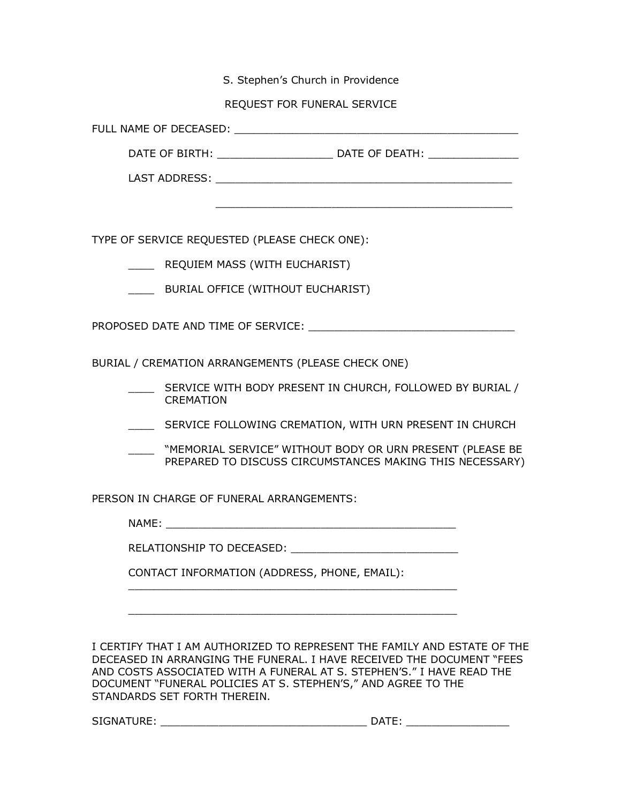S. Stephen's Church in Providence

REQUEST FOR FUNERAL SERVICE

FULL NAME OF DECEASED:

DATE OF BIRTH: \_\_\_\_\_\_\_\_\_\_\_\_\_\_\_\_\_\_\_\_\_\_\_\_\_ DATE OF DEATH: \_\_\_\_\_\_\_\_\_\_\_\_\_\_\_\_\_\_\_\_\_\_\_\_

LAST ADDRESS: **with a set of the set of the set of the set of the set of the set of the set of the set of the set of the set of the set of the set of the set of the set of the set of the set of the set of the set of the se** 

\_\_\_\_\_\_\_\_\_\_\_\_\_\_\_\_\_\_\_\_\_\_\_\_\_\_\_\_\_\_\_\_\_\_\_\_\_\_\_\_\_\_\_\_\_\_

TYPE OF SERVICE REQUESTED (PLEASE CHECK ONE):

\_\_\_\_ REQUIEM MASS (WITH EUCHARIST)

\_\_\_\_ BURIAL OFFICE (WITHOUT EUCHARIST)

PROPOSED DATE AND TIME OF SERVICE:  $\blacksquare$ 

BURIAL / CREMATION ARRANGEMENTS (PLEASE CHECK ONE)

- \_\_\_\_ SERVICE WITH BODY PRESENT IN CHURCH, FOLLOWED BY BURIAL / CREMATION
- \_\_\_\_ SERVICE FOLLOWING CREMATION, WITH URN PRESENT IN CHURCH
- \_\_\_\_ "MEMORIAL SERVICE" WITHOUT BODY OR URN PRESENT (PLEASE BE PREPARED TO DISCUSS CIRCUMSTANCES MAKING THIS NECESSARY)

PERSON IN CHARGE OF FUNERAL ARRANGEMENTS:

NAME: \_\_\_\_\_\_\_\_\_\_\_\_\_\_\_\_\_\_\_\_\_\_\_\_\_\_\_\_\_\_\_\_\_\_\_\_\_\_\_\_\_\_\_\_\_

\_\_\_\_\_\_\_\_\_\_\_\_\_\_\_\_\_\_\_\_\_\_\_\_\_\_\_\_\_\_\_\_\_\_\_\_\_\_\_\_\_\_\_\_\_\_\_\_\_\_\_

\_\_\_\_\_\_\_\_\_\_\_\_\_\_\_\_\_\_\_\_\_\_\_\_\_\_\_\_\_\_\_\_\_\_\_\_\_\_\_\_\_\_\_\_\_\_\_\_\_\_\_

RELATIONSHIP TO DECEASED: \_\_\_\_\_\_\_\_\_\_\_

CONTACT INFORMATION (ADDRESS, PHONE, EMAIL):

I CERTIFY THAT I AM AUTHORIZED TO REPRESENT THE FAMILY AND ESTATE OF THE DECEASED IN ARRANGING THE FUNERAL. I HAVE RECEIVED THE DOCUMENT "FEES AND COSTS ASSOCIATED WITH A FUNERAL AT S. STEPHEN'S." I HAVE READ THE DOCUMENT "FUNERAL POLICIES AT S. STEPHEN'S," AND AGREE TO THE STANDARDS SET FORTH THEREIN.